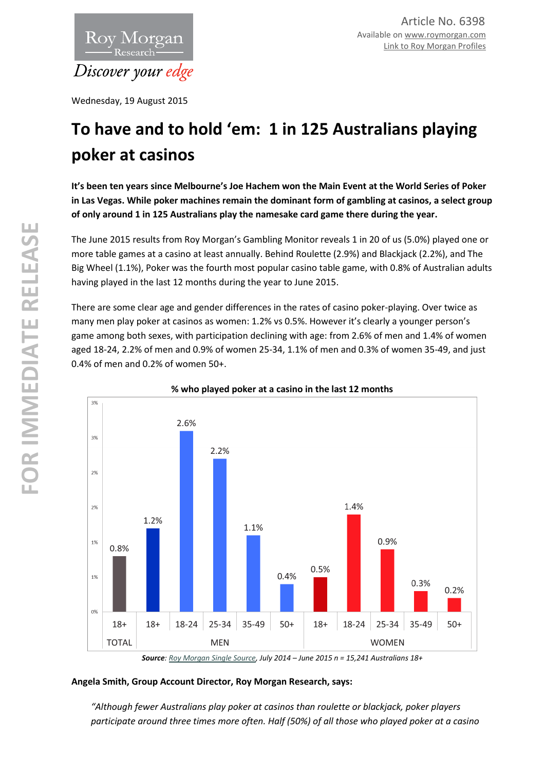

Wednesday, 19 August 2015

# **To have and to hold 'em: 1 in 125 Australians playing poker at casinos**

**It's been ten years since Melbourne's Joe Hachem won the Main Event at the World Series of Poker in Las Vegas. While poker machines remain the dominant form of gambling at casinos, a select group of only around 1 in 125 Australians play the namesake card game there during the year.** 

The June 2015 results from Roy Morgan's Gambling Monitor reveals 1 in 20 of us (5.0%) played one or more table games at a casino at least annually. Behind Roulette (2.9%) and Blackjack (2.2%), and The Big Wheel (1.1%), Poker was the fourth most popular casino table game, with 0.8% of Australian adults having played in the last 12 months during the year to June 2015.

There are some clear age and gender differences in the rates of casino poker-playing. Over twice as many men play poker at casinos as women: 1.2% vs 0.5%. However it's clearly a younger person's game among both sexes, with participation declining with age: from 2.6% of men and 1.4% of women aged 18-24, 2.2% of men and 0.9% of women 25-34, 1.1% of men and 0.3% of women 35-49, and just 0.4% of men and 0.2% of women 50+.



**% who played poker at a casino in the last 12 months**

## **Angela Smith, Group Account Director, Roy Morgan Research, says:**

*"Although fewer Australians play poker at casinos than roulette or blackjack, poker players participate around three times more often. Half (50%) of all those who played poker at a casino* 

*Source[: Roy Morgan Single Source,](http://roymorgan.com.au/products/single-source) July 2014 – June 2015 n = 15,241 Australians 18+*